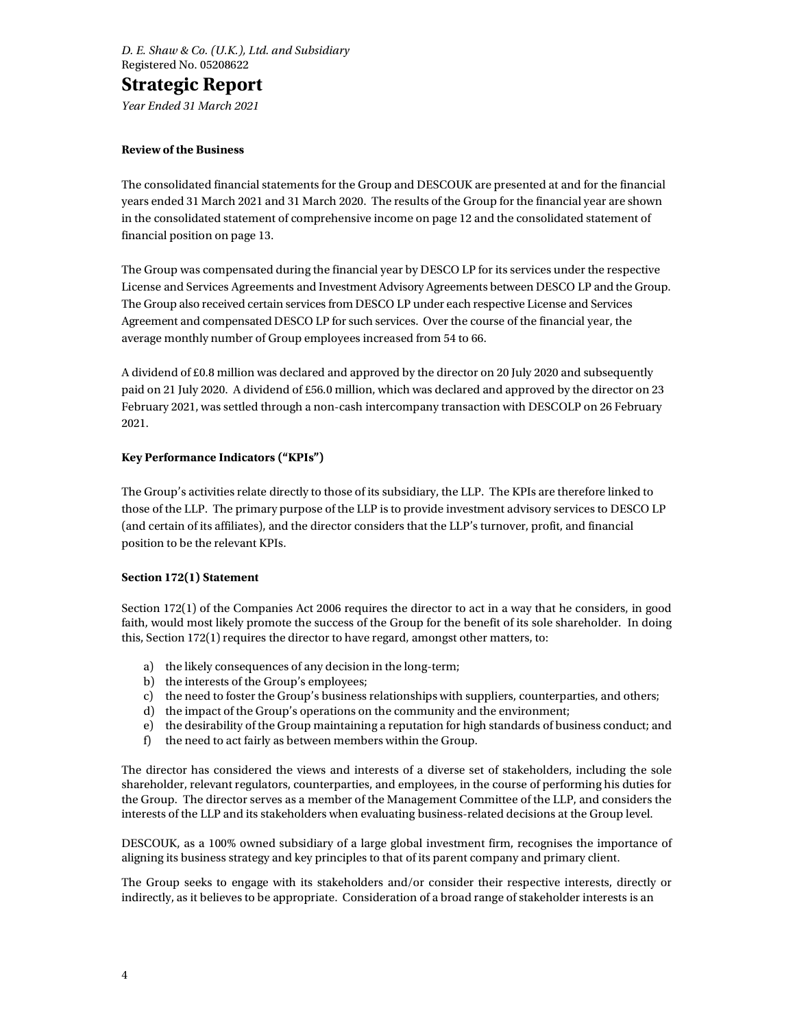## Strategic Report

Year Ended 31 March 2021

#### Review of the Business

The consolidated financial statements for the Group and DESCOUK are presented at and for the financial years ended 31 March 2021 and 31 March 2020. The results of the Group for the financial year are shown in the consolidated statement of comprehensive income on page 12 and the consolidated statement of financial position on page 13.

The Group was compensated during the financial year by DESCO LP for its services under the respective License and Services Agreements and Investment Advisory Agreements between DESCO LP and the Group. The Group also received certain services from DESCO LP under each respective License and Services Agreement and compensated DESCO LP for such services. Over the course of the financial year, the average monthly number of Group employees increased from 54 to 66.

A dividend of £0.8 million was declared and approved by the director on 20 July 2020 and subsequently paid on 21 July 2020. A dividend of £56.0 million, which was declared and approved by the director on 23 February 2021, was settled through a non-cash intercompany transaction with DESCOLP on 26 February 2021.

### Key Performance Indicators ("KPIs")

The Group's activities relate directly to those of its subsidiary, the LLP. The KPIs are therefore linked to those of the LLP. The primary purpose of the LLP is to provide investment advisory services to DESCO LP (and certain of its affiliates), and the director considers that the LLP's turnover, profit, and financial position to be the relevant KPIs.

#### Section 172(1) Statement

Section 172(1) of the Companies Act 2006 requires the director to act in a way that he considers, in good faith, would most likely promote the success of the Group for the benefit of its sole shareholder. In doing this, Section 172(1) requires the director to have regard, amongst other matters, to:

- a) the likely consequences of any decision in the long-term;
- b) the interests of the Group's employees;
- c) the need to foster the Group's business relationships with suppliers, counterparties, and others;
- d) the impact of the Group's operations on the community and the environment;
- e) the desirability of the Group maintaining a reputation for high standards of business conduct; and
- f) the need to act fairly as between members within the Group.

The director has considered the views and interests of a diverse set of stakeholders, including the sole shareholder, relevant regulators, counterparties, and employees, in the course of performing his duties for the Group. The director serves as a member of the Management Committee of the LLP, and considers the interests of the LLP and its stakeholders when evaluating business-related decisions at the Group level.

DESCOUK, as a 100% owned subsidiary of a large global investment firm, recognises the importance of aligning its business strategy and key principles to that of its parent company and primary client.

The Group seeks to engage with its stakeholders and/or consider their respective interests, directly or indirectly, as it believes to be appropriate. Consideration of a broad range of stakeholder interests is an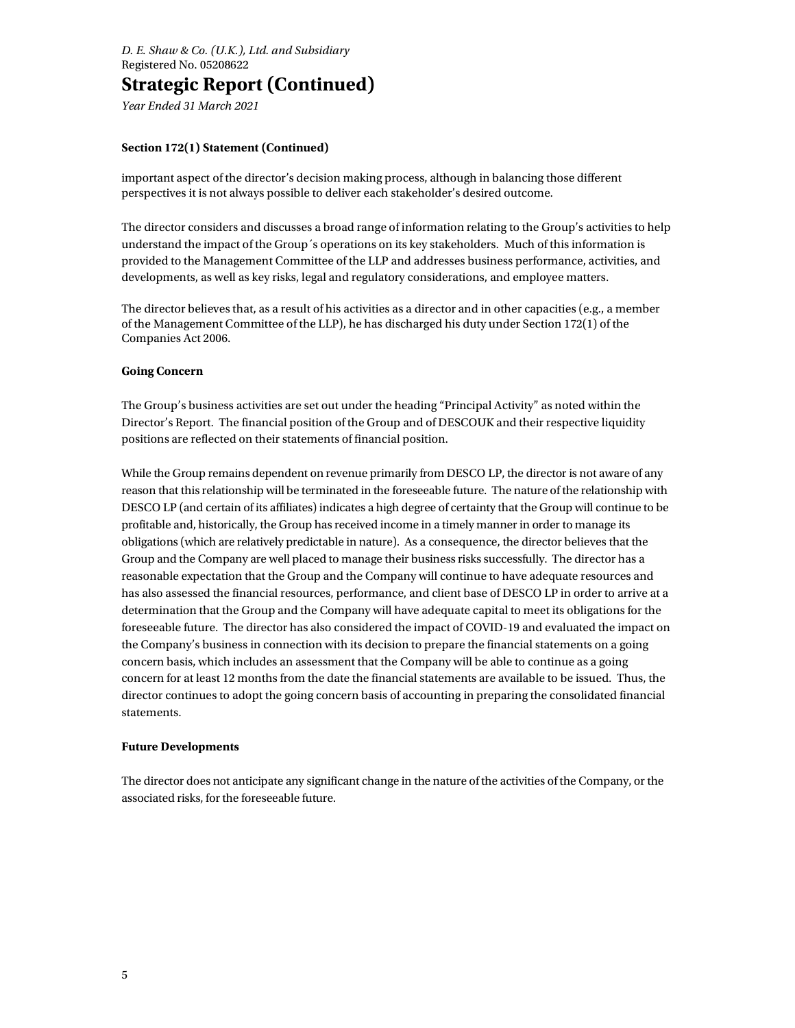D. E. Shaw & Co. (U.K.), Ltd. and Subsidiary Registered No. 05208622

# Strategic Report (Continued)

Year Ended 31 March 2021

## Section 172(1) Statement (Continued)

important aspect of the director's decision making process, although in balancing those different perspectives it is not always possible to deliver each stakeholder's desired outcome.

The director considers and discusses a broad range of information relating to the Group's activities to help understand the impact of the Group´s operations on its key stakeholders. Much of this information is provided to the Management Committee of the LLP and addresses business performance, activities, and developments, as well as key risks, legal and regulatory considerations, and employee matters.

The director believes that, as a result of his activities as a director and in other capacities (e.g., a member of the Management Committee of the LLP), he has discharged his duty under Section 172(1) of the Companies Act 2006.

#### Going Concern

The Group's business activities are set out under the heading "Principal Activity" as noted within the Director's Report. The financial position of the Group and of DESCOUK and their respective liquidity positions are reflected on their statements of financial position.

While the Group remains dependent on revenue primarily from DESCO LP, the director is not aware of any reason that this relationship will be terminated in the foreseeable future. The nature of the relationship with DESCO LP (and certain of its affiliates) indicates a high degree of certainty that the Group will continue to be profitable and, historically, the Group has received income in a timely manner in order to manage its obligations (which are relatively predictable in nature). As a consequence, the director believes that the Group and the Company are well placed to manage their business risks successfully. The director has a reasonable expectation that the Group and the Company will continue to have adequate resources and has also assessed the financial resources, performance, and client base of DESCO LP in order to arrive at a determination that the Group and the Company will have adequate capital to meet its obligations for the foreseeable future. The director has also considered the impact of COVID-19 and evaluated the impact on the Company's business in connection with its decision to prepare the financial statements on a going concern basis, which includes an assessment that the Company will be able to continue as a going concern for at least 12 months from the date the financial statements are available to be issued. Thus, the director continues to adopt the going concern basis of accounting in preparing the consolidated financial statements.

#### Future Developments

The director does not anticipate any significant change in the nature of the activities of the Company, or the associated risks, for the foreseeable future.